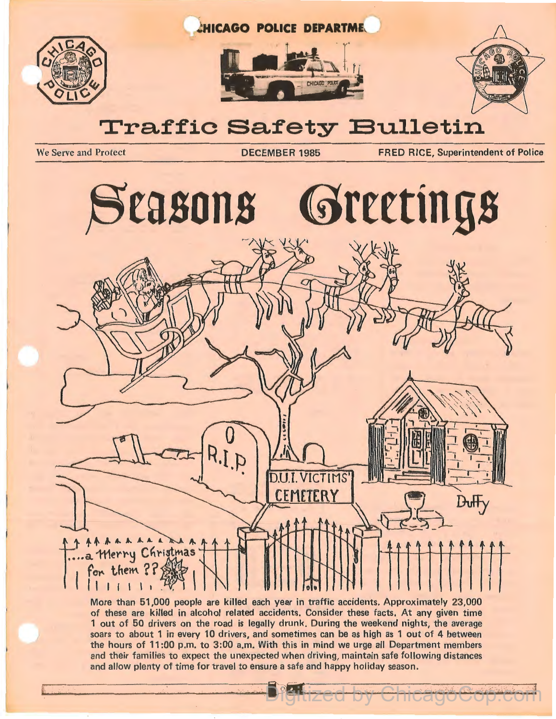